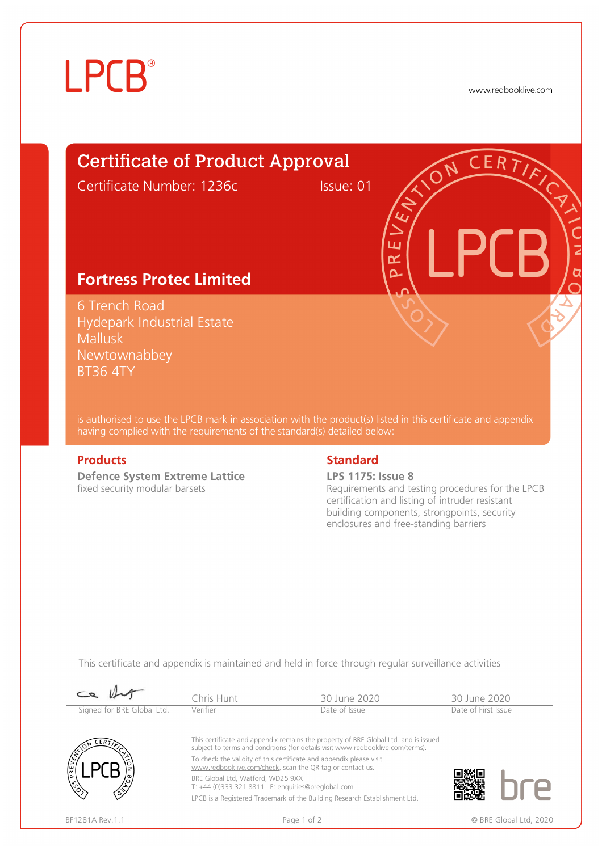# **LPCB**®

www.redbooklive.com

# Certificate of Product Approval

Certificate Number: 1236c Issue: 01

ய œ  $\overline{\mathbf{C}}$ 

## **Fortress Protec Limited**

6 Trench Road Hydepark Industrial Estate Mallusk Newtownabbey BT36 4TY

is authorised to use the LPCB mark in association with the product(s) listed in this certificate and appendix having complied with the requirements of the standard(s) detailed below:

**Defence System Extreme Lattice**  fixed security modular barsets

### **Products** Standard **Standard**

### **LPS 1175: Issue 8**

Requirements and testing procedures for the LPCB certification and listing of intruder resistant building components, strongpoints, security enclosures and free-standing barriers

This certificate and appendix is maintained and held in force through regular surveillance activities

| $\mathcal{L}$              | Chris Hunt                                                                                                                       | 30 June 2020                                                                                                                                                          | 30 June 2020        |                        |
|----------------------------|----------------------------------------------------------------------------------------------------------------------------------|-----------------------------------------------------------------------------------------------------------------------------------------------------------------------|---------------------|------------------------|
| Signed for BRE Global Ltd. | Verifier                                                                                                                         | Date of Issue                                                                                                                                                         | Date of First Issue |                        |
| CERT<br>١ž                 |                                                                                                                                  | This certificate and appendix remains the property of BRE Global Ltd. and is issued<br>subject to terms and conditions (for details visit www.redbooklive.com/terms). |                     |                        |
|                            | To check the validity of this certificate and appendix please visit<br>www.redbooklive.com/check, scan the QR tag or contact us. |                                                                                                                                                                       |                     |                        |
|                            | BRE Global Ltd. Watford. WD25 9XX<br>T: +44 (0)333 321 8811 E: enquiries@breglobal.com                                           |                                                                                                                                                                       |                     |                        |
|                            |                                                                                                                                  | LPCB is a Registered Trademark of the Building Research Establishment Ltd.                                                                                            |                     |                        |
| BF1281A Rev. 1.1           | Page 1 of 2                                                                                                                      |                                                                                                                                                                       |                     | © BRE Global Ltd. 2020 |